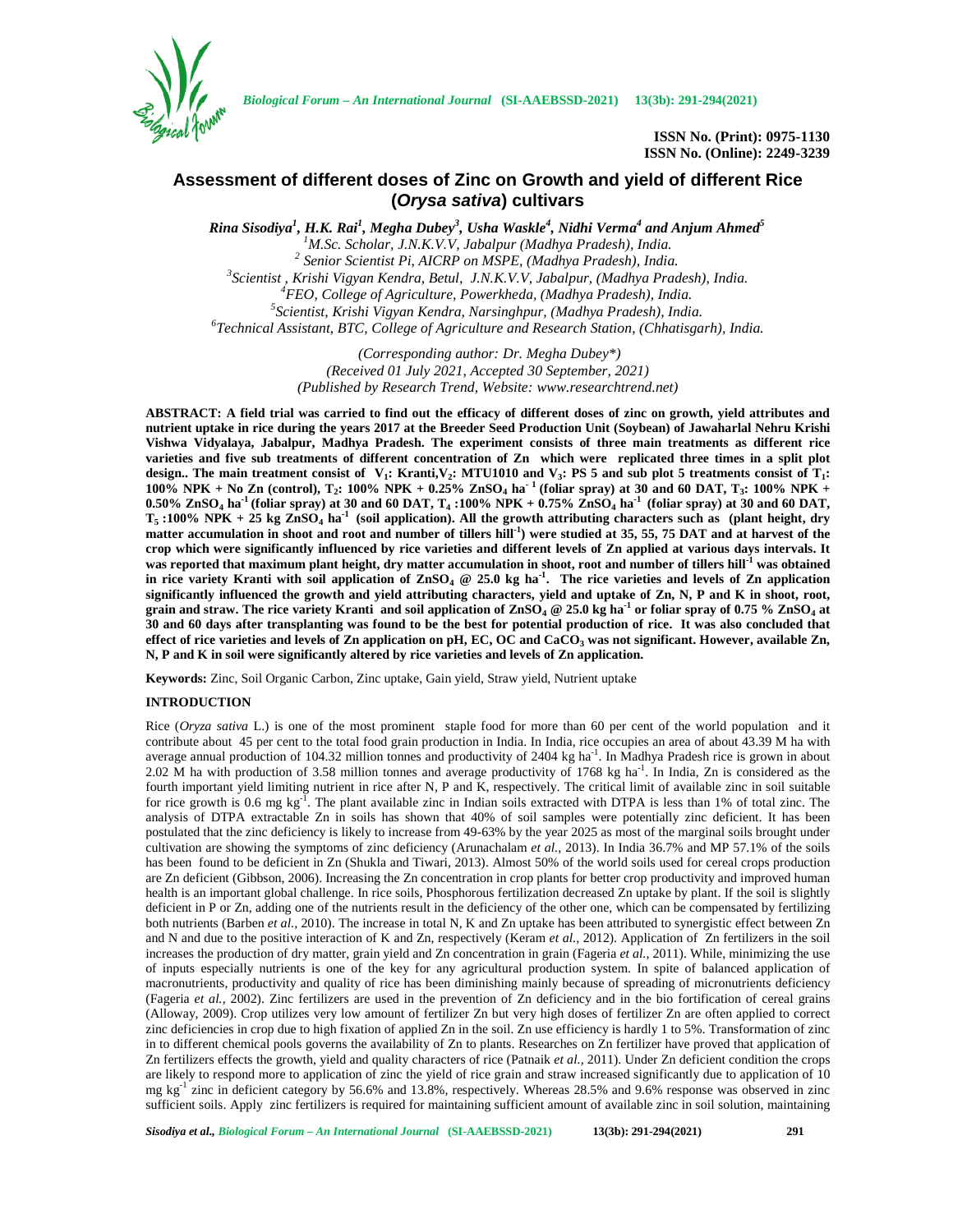

*Biological Forum – An International Journal* **(SI-AAEBSSD-2021) 13(3b): 291-294(2021)**

**ISSN No. (Print): 0975-1130 ISSN No. (Online): 2249-3239**

# **Assessment of different doses of Zinc on Growth and yield of different Rice (***Orysa sativa***) cultivars**

*Rina Sisodiya<sup>1</sup> , H.K. Rai<sup>1</sup> , Megha Dubey<sup>3</sup> , Usha Waskle<sup>4</sup> , Nidhi Verma<sup>4</sup> and Anjum Ahmed<sup>5</sup>* <sup>1</sup>M.Sc. Scholar, J.N.K.V.V, Jabalpur (Madhya Pradesh), India.<br><sup>2</sup> Senior Scientist Pi, AICRP on MSPE, (Madhya Pradesh), India.<br><sup>3</sup> Scientist , Krishi Vigyan Kendra, Betul, J.N.K.V.V, Jabalpur, (Madhya Pradesh), India.<br><sup>4</sup>

> *(Corresponding author: Dr. Megha Dubey\*) (Received 01 July 2021, Accepted 30 September, 2021) (Published by Research Trend, Website: [www.researchtrend.net\)](www.researchtrend.net)*

**ABSTRACT: A field trial was carried to find out the efficacy of different doses of zinc on growth, yield attributes and nutrient uptake in rice during the years 2017 at the Breeder Seed Production Unit (Soybean) of Jawaharlal Nehru Krishi Vishwa Vidyalaya, Jabalpur, Madhya Pradesh. The experiment consists of three main treatments as different rice varieties and five sub treatments of different concentration of Zn which were replicated three times in a split plot** design.. The main treatment consist of  $V_1$ : Kranti, $V_2$ : MTU1010 and  $V_3$ : PS 5 and sub plot 5 treatments consist of  $T_1$ : **100% NPK + No Zn (control), T<sup>2</sup> : 100% NPK + 0.25% ZnSO<sup>4</sup> ha- <sup>1</sup> (foliar spray) at 30 and 60 DAT, T<sup>3</sup> : 100% NPK + 0.50% ZnSO<sup>4</sup> ha-1 (foliar spray) at 30 and 60 DAT, T<sup>4</sup> :100% NPK + 0.75% ZnSO<sup>4</sup> ha-1 (foliar spray) at 30 and 60 DAT, T<sup>5</sup> :100% NPK + 25 kg ZnSO<sup>4</sup> ha-1 (soil application). All the growth attributing characters such as (plant height, dry matter accumulation in shoot and root and number of tillers hill-1 ) were studied at 35, 55, 75 DAT and at harvest of the crop which were significantly influenced by rice varieties and different levels of Zn applied at various days intervals. It was reported that maximum plant height, dry matter accumulation in shoot, root and number of tillers hill-1 was obtained in rice variety Kranti with soil application of ZnSO<sup>4</sup> @ 25.0 kg ha-1 . The rice varieties and levels of Zn application significantly influenced the growth and yield attributing characters, yield and uptake of Zn, N, P and K in shoot, root, grain and straw. The rice variety Kranti and soil application of ZnSO<sup>4</sup> @ 25.0 kg ha-1 or foliar spray of 0.75 % ZnSO<sup>4</sup> at 30 and 60 days after transplanting was found to be the best for potential production of rice. It was also concluded that effect of rice varieties and levels of Zn application on pH, EC, OC and CaCO<sup>3</sup> was not significant. However, available Zn, N, P and K in soil were significantly altered by rice varieties and levels of Zn application.**

**Keywords:** Zinc, Soil Organic Carbon, Zinc uptake, Gain yield, Straw yield, Nutrient uptake

# **INTRODUCTION**

Rice (*Oryza sativa* L.) is one of the most prominent staple food for more than 60 per cent of the world population and it contribute about 45 per cent to the total food grain production in India. In India, rice occupies an area of about 43.39 M ha with average annual production of 104.32 million tonnes and productivity of 2404 kg ha<sup>-1</sup>. In Madhya Pradesh rice is grown in about 2.02 M ha with production of 3.58 million tonnes and average productivity of 1768 kg ha<sup>-1</sup>. In India, Zn is considered as the fourth important yield limiting nutrient in rice after N, P and K, respectively. The critical limit of available zinc in soil suitable for rice growth is 0.6 mg kg<sup>-1</sup>. The plant available zinc in Indian soils extracted with DTPA is less than 1% of total zinc. The analysis of DTPA extractable Zn in soils has shown that 40% of soil samples were potentially zinc deficient. It has been postulated that the zinc deficiency is likely to increase from 49-63% by the year 2025 as most of the marginal soils brought under cultivation are showing the symptoms of zinc deficiency (Arunachalam *et al.,* 2013). In India 36.7% and MP 57.1% of the soils has been found to be deficient in Zn (Shukla and Tiwari, 2013). Almost 50% of the world soils used for cereal crops production are Zn deficient (Gibbson, 2006). Increasing the Zn concentration in crop plants for better crop productivity and improved human health is an important global challenge. In rice soils, Phosphorous fertilization decreased Zn uptake by plant. If the soil is slightly deficient in P or Zn, adding one of the nutrients result in the deficiency of the other one, which can be compensated by fertilizing both nutrients (Barben *et al.,* 2010). The increase in total N, K and Zn uptake has been attributed to synergistic effect between Zn and N and due to the positive interaction of K and Zn, respectively (Keram *et al.,* 2012). Application of Zn fertilizers in the soil increases the production of dry matter, grain yield and Zn concentration in grain (Fageria *et al.,* 2011). While, minimizing the use of inputs especially nutrients is one of the key for any agricultural production system. In spite of balanced application of macronutrients, productivity and quality of rice has been diminishing mainly because of spreading of micronutrients deficiency (Fageria *et al.,* 2002). Zinc fertilizers are used in the prevention of Zn deficiency and in the bio fortification of cereal grains (Alloway, 2009). Crop utilizes very low amount of fertilizer Zn but very high doses of fertilizer Zn are often applied to correct zinc deficiencies in crop due to high fixation of applied Zn in the soil. Zn use efficiency is hardly 1 to 5%. Transformation of zinc in to different chemical pools governs the availability of Zn to plants. Researches on Zn fertilizer have proved that application of Zn fertilizers effects the growth, yield and quality characters of rice (Patnaik *et al.,* 2011). Under Zn deficient condition the crops are likely to respond more to application of zinc the yield of rice grain and straw increased significantly due to application of 10 mg kg-1 zinc in deficient category by 56.6% and 13.8%, respectively. Whereas 28.5% and 9.6% response was observed in zinc sufficient soils. Apply zinc fertilizers is required for maintaining sufficient amount of available zinc in soil solution, maintaining

*Sisodiya et al., Biological Forum – An International Journal* **(SI-AAEBSSD-2021) 13(3b): 291-294(2021) 291**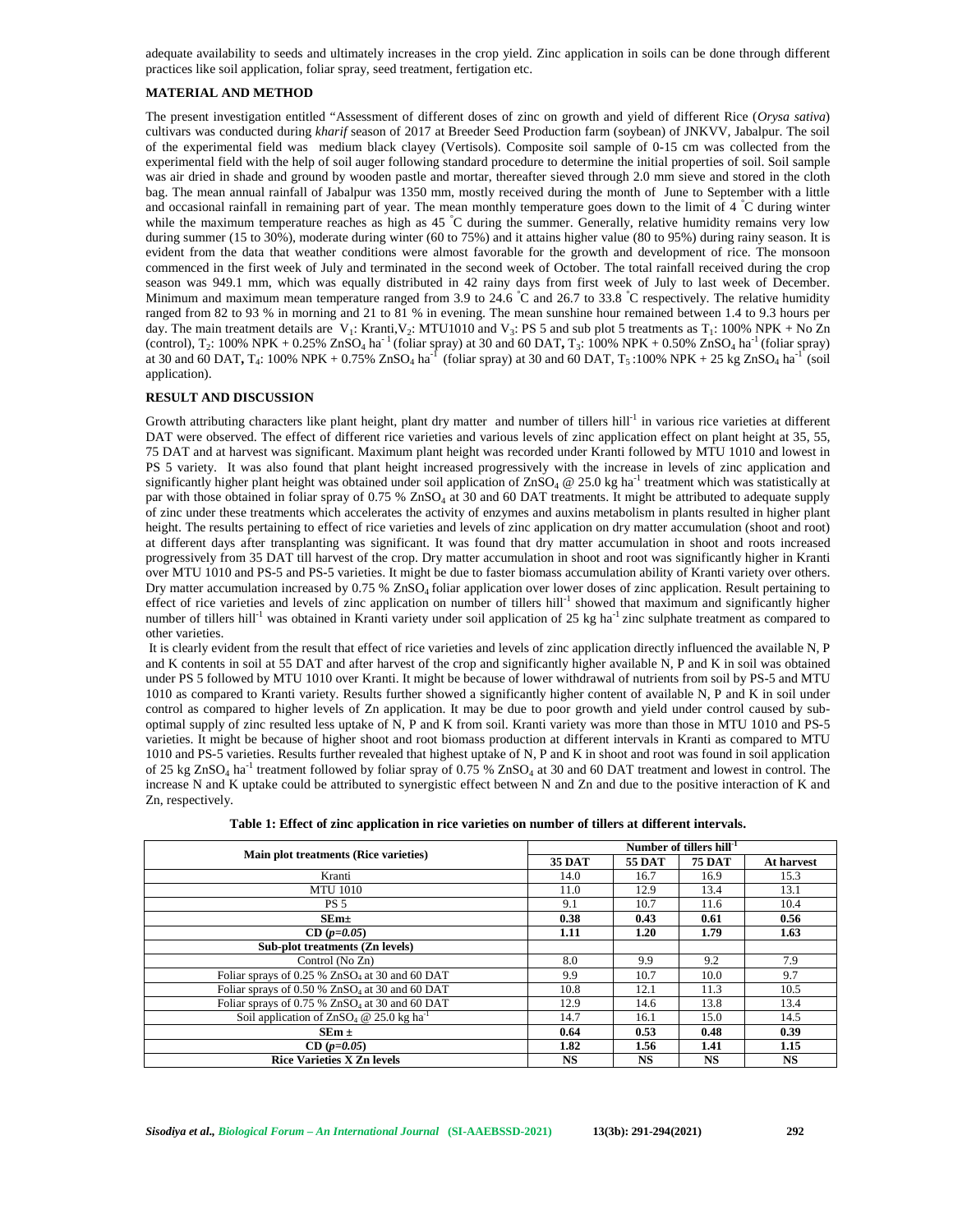adequate availability to seeds and ultimately increases in the crop yield. Zinc application in soils can be done through different practices like soil application, foliar spray, seed treatment, fertigation etc.

## **MATERIAL AND METHOD**

The present investigation entitled "Assessment of different doses of zinc on growth and yield of different Rice (*Orysa sativa*) cultivars was conducted during *kharif* season of 2017 at Breeder Seed Production farm (soybean) of JNKVV, Jabalpur. The soil of the experimental field was medium black clayey (Vertisols). Composite soil sample of 0-15 cm was collected from the experimental field with the help of soil auger following standard procedure to determine the initial properties of soil. Soil sample was air dried in shade and ground by wooden pastle and mortar, thereafter sieved through 2.0 mm sieve and stored in the cloth bag. The mean annual rainfall of Jabalpur was 1350 mm, mostly received during the month of June to September with a little and occasional rainfall in remaining part of year. The mean monthly temperature goes down to the limit of 4 °C during winter while the maximum temperature reaches as high as 45 °C during the summer. Generally, relative humidity remains very low during summer (15 to 30%), moderate during winter (60 to 75%) and it attains higher value (80 to 95%) during rainy season. It is evident from the data that weather conditions were almost favorable for the growth and development of rice. The monsoon commenced in the first week of July and terminated in the second week of October. The total rainfall received during the crop season was 949.1 mm, which was equally distributed in 42 rainy days from first week of July to last week of December. Minimum and maximum mean temperature ranged from 3.9 to 24.6 °C and 26.7 to 33.8 °C respectively. The relative humidity ranged from 82 to 93 % in morning and 21 to 81 % in evening. The mean sunshine hour remained between 1.4 to 9.3 hours per day. The main treatment details are  $V_1$ : Kranti,  $V_2$ : MTU1010 and  $V_3$ : PS 5 and sub plot 5 treatments as  $T_1$ : 100% NPK + No Zn (control),  $T_2$ : 100% NPK + 0.25% ZnSO<sub>4</sub> ha<sup>-1</sup> (foliar spray) at 30 and 60 DAT,  $T_3$ : 100% NPK + 0.50% ZnSO<sub>4</sub> ha<sup>-1</sup> (foliar spray) at 30 and 60 DAT,  $T_4$ : 100% NPK + 0.75% ZnSO<sub>4</sub> ha<sup>-1</sup> (foliar spray) at 30 and 60 DAT,  $T_5$ :100% NPK + 25 kg ZnSO<sub>4</sub> ha<sup>-1</sup> (soil application).

#### **RESULT AND DISCUSSION**

Growth attributing characters like plant height, plant dry matter and number of tillers hill<sup>-1</sup> in various rice varieties at different DAT were observed. The effect of different rice varieties and various levels of zinc application effect on plant height at 35, 55, 75 DAT and at harvest was significant. Maximum plant height was recorded under Kranti followed by MTU 1010 and lowest in PS 5 variety. It was also found that plant height increased progressively with the increase in levels of zinc application and significantly higher plant height was obtained under soil application of  $ZnSO_4 \tQ 25.0$  kg ha<sup>-1</sup> treatment which was statistically at par with those obtained in foliar spray of 0.75 % ZnSO<sub>4</sub> at 30 and 60 DAT treatments. It might be attributed to adequate supply of zinc under these treatments which accelerates the activity of enzymes and auxins metabolism in plants resulted in higher plant height. The results pertaining to effect of rice varieties and levels of zinc application on dry matter accumulation (shoot and root) at different days after transplanting was significant. It was found that dry matter accumulation in shoot and roots increased progressively from 35 DAT till harvest of the crop. Dry matter accumulation in shoot and root was significantly higher in Kranti over MTU 1010 and PS-5 and PS-5 varieties. It might be due to faster biomass accumulation ability of Kranti variety over others. Dry matter accumulation increased by 0.75 % ZnSO<sub>4</sub> foliar application over lower doses of zinc application. Result pertaining to effect of rice varieties and levels of zinc application on number of tillers hill<sup>-1</sup> showed that maximum and significantly higher number of tillers hill<sup>-1</sup> was obtained in Kranti variety under soil application of 25 kg ha<sup>-1</sup> zinc sulphate treatment as compared to other varieties.

It is clearly evident from the result that effect of rice varieties and levels of zinc application directly influenced the available N, P and K contents in soil at 55 DAT and after harvest of the crop and significantly higher available N, P and K in soil was obtained under PS 5 followed by MTU 1010 over Kranti. It might be because of lower withdrawal of nutrients from soil by PS-5 and MTU 1010 as compared to Kranti variety. Results further showed a significantly higher content of available N, P and K in soil under control as compared to higher levels of Zn application. It may be due to poor growth and yield under control caused by sub optimal supply of zinc resulted less uptake of N, P and K from soil. Kranti variety was more than those in MTU 1010 and PS-5 varieties. It might be because of higher shoot and root biomass production at different intervals in Kranti as compared to MTU 1010 and PS-5 varieties. Results further revealed that highest uptake of N, P and K in shoot and root was found in soil application of 25 kg ZnSO<sub>4</sub> ha<sup>-1</sup> treatment followed by foliar spray of 0.75 % ZnSO<sub>4</sub> at 30 and 60 DAT treatment and lowest in control. The increase N and K uptake could be attributed to synergistic effect between N and Zn and due to the positive interaction of K and Zn, respectively.

|                                                            | Number of tillers $hill-1$ |           |               |            |  |  |  |  |
|------------------------------------------------------------|----------------------------|-----------|---------------|------------|--|--|--|--|
| Main plot treatments (Rice varieties)                      | <b>35 DAT</b>              | 55 DAT    | <b>75 DAT</b> | At harvest |  |  |  |  |
| Kranti                                                     | 14.0                       | 16.7      | 16.9          | 15.3       |  |  |  |  |
| <b>MTU 1010</b>                                            | 11.0                       | 12.9      | 13.4          | 13.1       |  |  |  |  |
| <b>PS 5</b>                                                | 9.1                        | 10.7      | 11.6          | 10.4       |  |  |  |  |
| $SEm+$                                                     | 0.38                       | 0.43      | 0.61          | 0.56       |  |  |  |  |
| $CD (p=0.05)$                                              | 1.11                       | 1.20      | 1.79          | 1.63       |  |  |  |  |
| Sub-plot treatments (Zn levels)                            |                            |           |               |            |  |  |  |  |
| Control (No Zn)                                            | 8.0                        | 9.9       | 9.2           | 7.9        |  |  |  |  |
| Foliar sprays of 0.25 % ZnSO <sub>4</sub> at 30 and 60 DAT | 9.9                        | 10.7      | 10.0          | 9.7        |  |  |  |  |
| Foliar sprays of 0.50 % ZnSO <sub>4</sub> at 30 and 60 DAT | 10.8                       | 12.1      | 11.3          | 10.5       |  |  |  |  |
| Foliar sprays of 0.75 % $ZnSO4$ at 30 and 60 DAT           | 12.9                       | 14.6      | 13.8          | 13.4       |  |  |  |  |
| Soil application of $ZnSO_4 \tQ 25.0$ kg ha <sup>-1</sup>  | 14.7                       | 16.1      | 15.0          | 14.5       |  |  |  |  |
| $SEm \pm$                                                  | 0.64                       | 0.53      | 0.48          | 0.39       |  |  |  |  |
| $CD (p=0.05)$                                              | 1.82                       | 1.56      | 1.41          | 1.15       |  |  |  |  |
| <b>Rice Varieties X Zn levels</b>                          | <b>NS</b>                  | <b>NS</b> | <b>NS</b>     | <b>NS</b>  |  |  |  |  |

| Table 1: Effect of zinc application in rice varieties on number of tillers at different intervals. |
|----------------------------------------------------------------------------------------------------|
|----------------------------------------------------------------------------------------------------|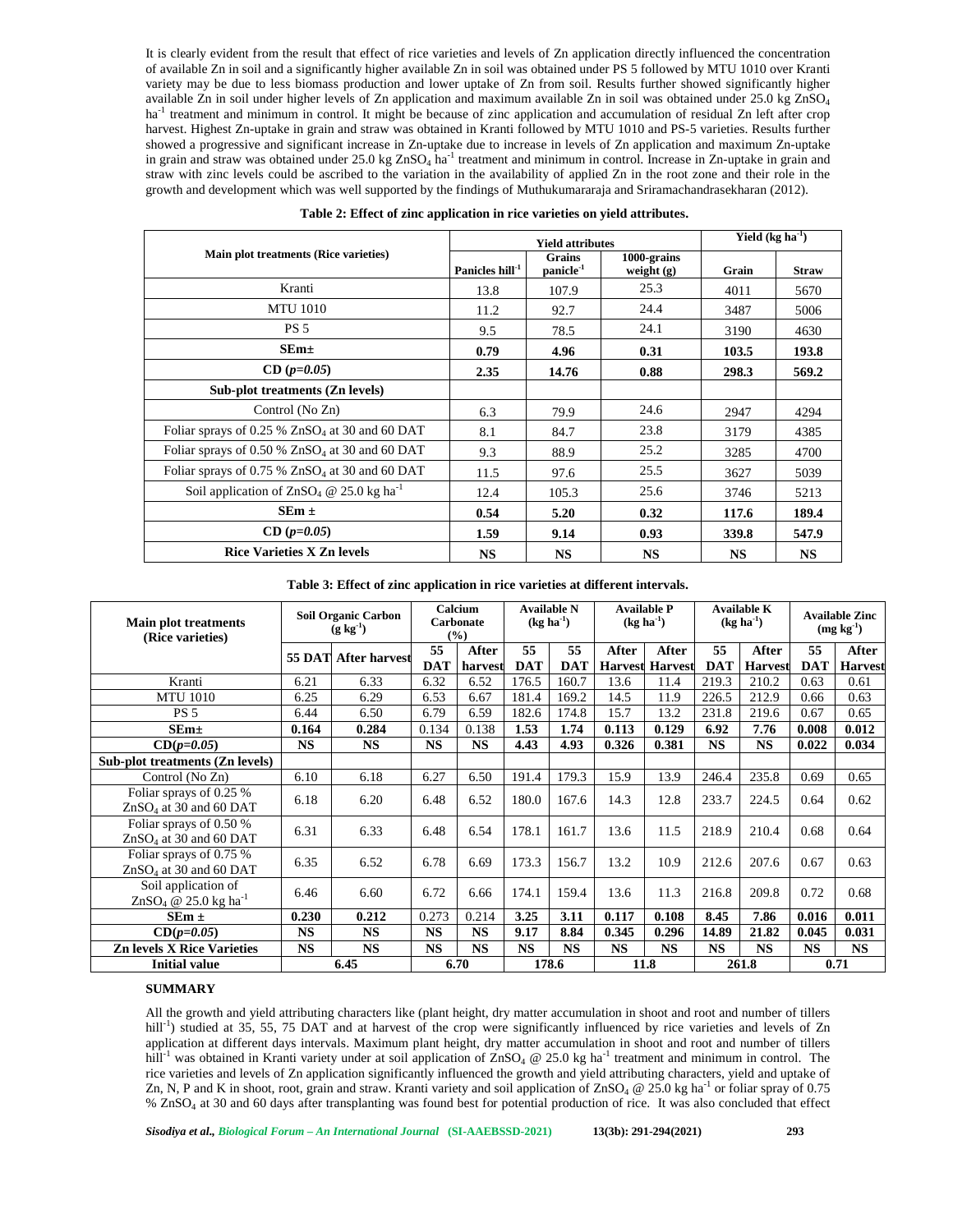It is clearly evident from the result that effect of rice varieties and levels of Zn application directly influenced the concentration of available Zn in soil and a significantly higher available Zn in soil was obtained under PS 5 followed by MTU 1010 over Kranti variety may be due to less biomass production and lower uptake of Zn from soil. Results further showed significantly higher available Zn in soil under higher levels of Zn application and maximum available Zn in soil was obtained under  $25.0 \text{ kg ZnSO}_4$ ha<sup>-1</sup> treatment and minimum in control. It might be because of zinc application and accumulation of residual Zn left after crop harvest. Highest Zn-uptake in grain and straw was obtained in Kranti followed by MTU 1010 and PS-5 varieties. Results further showed a progressive and significant increase in Zn-uptake due to increase in levels of Zn application and maximum Zn-uptake in grain and straw was obtained under  $25.0$  kg  $ZnSO_4$  ha<sup>-1</sup> treatment and minimum in control. Increase in Zn-uptake in grain and straw with zinc levels could be ascribed to the variation in the availability of applied Zn in the root zone and their role in the growth and development which was well supported by the findings of Muthukumararaja and Sriramachandrasekharan (2012).

|                                                              |                             | <b>Yield attributes</b>                | Yield $(kg ha-1)$           |           |              |
|--------------------------------------------------------------|-----------------------------|----------------------------------------|-----------------------------|-----------|--------------|
| Main plot treatments (Rice varieties)                        | Panicles hill <sup>-1</sup> | <b>Grains</b><br>panicle <sup>-1</sup> | 1000-grains<br>weight $(g)$ | Grain     | <b>Straw</b> |
| Kranti                                                       | 13.8                        | 107.9                                  | 25.3                        | 4011      | 5670         |
| <b>MTU 1010</b>                                              | 11.2                        | 92.7                                   | 24.4                        | 3487      | 5006         |
| <b>PS 5</b>                                                  | 9.5                         | 78.5                                   | 24.1                        | 3190      | 4630         |
| $SEm+$                                                       | 0.79                        | 4.96                                   | 0.31                        | 103.5     | 193.8        |
| $CD (p=0.05)$                                                | 2.35                        | 14.76                                  | 0.88                        | 298.3     | 569.2        |
| Sub-plot treatments (Zn levels)                              |                             |                                        |                             |           |              |
| Control (No Zn)                                              | 6.3                         | 79.9                                   | 24.6                        | 2947      | 4294         |
| Foliar sprays of 0.25 % $ZnSO4$ at 30 and 60 DAT             | 8.1                         | 84.7                                   | 23.8                        | 3179      | 4385         |
| Foliar sprays of 0.50 % $ZnSO4$ at 30 and 60 DAT             | 9.3                         | 88.9                                   | 25.2                        | 3285      | 4700         |
| Foliar sprays of $0.75\%$ ZnSO <sub>4</sub> at 30 and 60 DAT | 11.5                        | 97.6                                   | 25.5                        | 3627      | 5039         |
| Soil application of $ZnSO_4 \tQ 25.0$ kg ha <sup>-1</sup>    | 12.4                        | 105.3                                  | 25.6                        | 3746      | 5213         |
| $SEm \pm$                                                    | 0.54                        | 5.20                                   | 0.32                        | 117.6     | 189.4        |
| $CD (p=0.05)$                                                | 1.59                        | 9.14                                   | 0.93                        | 339.8     | 547.9        |
| <b>Rice Varieties X Zn levels</b>                            | <b>NS</b>                   | <b>NS</b>                              | <b>NS</b>                   | <b>NS</b> | <b>NS</b>    |

|  |  |  |  |  |  | Table 2: Effect of zinc application in rice varieties on yield attributes. |  |
|--|--|--|--|--|--|----------------------------------------------------------------------------|--|
|  |  |  |  |  |  |                                                                            |  |

**Table 3: Effect of zinc application in rice varieties at different intervals.**

| <b>Main plot treatments</b><br>(Rice varieties)     | <b>Soil Organic Carbon</b><br>$(g \text{ kg}^{-1})$ |                      | Calcium<br>Carbonate<br>(%) |                  | <b>Available N</b><br>$(kg ha-1)$ |                  | <b>Available P</b><br>$(\textbf{k} \textbf{g} \textbf{h} \textbf{a}^{-1})$ |                         | <b>Available K</b><br>$(\text{kg} \text{ha}^{-1})$ |                         | <b>Available Zinc</b><br>$(mg kg-1)$ |                         |
|-----------------------------------------------------|-----------------------------------------------------|----------------------|-----------------------------|------------------|-----------------------------------|------------------|----------------------------------------------------------------------------|-------------------------|----------------------------------------------------|-------------------------|--------------------------------------|-------------------------|
|                                                     |                                                     | 55 DAT After harvest | 55<br><b>DAT</b>            | After<br>harvest | 55<br><b>DAT</b>                  | 55<br><b>DAT</b> | After<br><b>Harvest</b>                                                    | After<br><b>Harvest</b> | 55<br><b>DAT</b>                                   | After<br><b>Harvest</b> | 55<br><b>DAT</b>                     | After<br><b>Harvest</b> |
| Kranti                                              | 6.21                                                | 6.33                 | 6.32                        | 6.52             | 176.5                             | 160.7            | 13.6                                                                       | 11.4                    | 219.3                                              | 210.2                   | 0.63                                 | 0.61                    |
| <b>MTU 1010</b>                                     | 6.25                                                | 6.29                 | 6.53                        | 6.67             | 181.4                             | 169.2            | 14.5                                                                       | 11.9                    | 226.5                                              | 212.9                   | 0.66                                 | 0.63                    |
| PS <sub>5</sub>                                     | 6.44                                                | 6.50                 | 6.79                        | 6.59             | 182.6                             | 174.8            | 15.7                                                                       | 13.2                    | 231.8                                              | 219.6                   | 0.67                                 | 0.65                    |
| $SEm+$                                              | 0.164                                               | 0.284                | 0.134                       | 0.138            | 1.53                              | 1.74             | 0.113                                                                      | 0.129                   | 6.92                                               | 7.76                    | 0.008                                | 0.012                   |
| $CD(p=0.05)$                                        | <b>NS</b>                                           | <b>NS</b>            | <b>NS</b>                   | <b>NS</b>        | 4.43                              | 4.93             | 0.326                                                                      | 0.381                   | <b>NS</b>                                          | <b>NS</b>               | 0.022                                | 0.034                   |
| Sub-plot treatments (Zn levels)                     |                                                     |                      |                             |                  |                                   |                  |                                                                            |                         |                                                    |                         |                                      |                         |
| Control (No Zn)                                     | 6.10                                                | 6.18                 | 6.27                        | 6.50             | 191.4                             | 179.3            | 15.9                                                                       | 13.9                    | 246.4                                              | 235.8                   | 0.69                                 | 0.65                    |
| Foliar sprays of 0.25 %<br>$ZnSO4$ at 30 and 60 DAT | 6.18                                                | 6.20                 | 6.48                        | 6.52             | 180.0                             | 167.6            | 14.3                                                                       | 12.8                    | 233.7                                              | 224.5                   | 0.64                                 | 0.62                    |
| Foliar sprays of 0.50 %<br>$ZnSO4$ at 30 and 60 DAT | 6.31                                                | 6.33                 | 6.48                        | 6.54             | 178.1                             | 161.7            | 13.6                                                                       | 11.5                    | 218.9                                              | 210.4                   | 0.68                                 | 0.64                    |
| Foliar sprays of 0.75 %<br>$ZnSO4$ at 30 and 60 DAT | 6.35                                                | 6.52                 | 6.78                        | 6.69             | 173.3                             | 156.7            | 13.2                                                                       | 10.9                    | 212.6                                              | 207.6                   | 0.67                                 | 0.63                    |
| Soil application of<br>$ZnSO_4 \t@ 25.0 kg ha^{-1}$ | 6.46                                                | 6.60                 | 6.72                        | 6.66             | 174.1                             | 159.4            | 13.6                                                                       | 11.3                    | 216.8                                              | 209.8                   | 0.72                                 | 0.68                    |
| $SEm \pm$                                           | 0.230                                               | 0.212                | 0.273                       | 0.214            | 3.25                              | 3.11             | 0.117                                                                      | 0.108                   | 8.45                                               | 7.86                    | 0.016                                | 0.011                   |
| $CD(p=0.05)$                                        | <b>NS</b>                                           | <b>NS</b>            | <b>NS</b>                   | <b>NS</b>        | 9.17                              | 8.84             | 0.345                                                                      | 0.296                   | 14.89                                              | 21.82                   | 0.045                                | 0.031                   |
| <b>Zn levels X Rice Varieties</b>                   | <b>NS</b>                                           | <b>NS</b>            | <b>NS</b>                   | <b>NS</b>        | <b>NS</b>                         | <b>NS</b>        | <b>NS</b>                                                                  | <b>NS</b>               | <b>NS</b>                                          | <b>NS</b>               | <b>NS</b>                            | <b>NS</b>               |
| Initial value                                       | 6.45                                                |                      | 6.70                        |                  | 178.6                             |                  | 11.8                                                                       |                         | 261.8                                              |                         | 0.71                                 |                         |

## **SUMMARY**

All the growth and yield attributing characters like (plant height, dry matter accumulation in shoot and root and number of tillers hill<sup>-1</sup>) studied at 35, 55, 75 DAT and at harvest of the crop were significantly influenced by rice varieties and levels of Zn application at different days intervals. Maximum plant height, dry matter accumulation in shoot and root and number of tillers hill<sup>-1</sup> was obtained in Kranti variety under at soil application of  $ZnSO_4 \otimes 25.0$  kg ha<sup>-1</sup> treatment and minimum in control. The rice varieties and levels of Zn application significantly influenced the growth and yield attributing characters, yield and uptake of Zn, N, P and K in shoot, root, grain and straw. Kranti variety and soil application of  $ZnSO_4 \otimes 25.0$  kg ha<sup>-1</sup> or foliar spray of 0.75 % ZnSO<sup>4</sup> at 30 and 60 days after transplanting was found best for potential production of rice. It was also concluded that effect